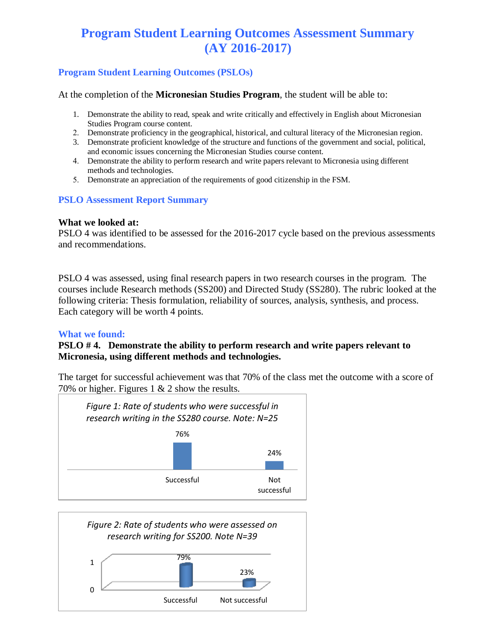# **Program Student Learning Outcomes Assessment Summary (AY 2016-2017)**

### **Program Student Learning Outcomes (PSLOs)**

At the completion of the **Micronesian Studies Program**, the student will be able to:

- 1. Demonstrate the ability to read, speak and write critically and effectively in English about Micronesian Studies Program course content.
- 2. Demonstrate proficiency in the geographical, historical, and cultural literacy of the Micronesian region.
- 3. Demonstrate proficient knowledge of the structure and functions of the government and social, political, and economic issues concerning the Micronesian Studies course content.
- 4. Demonstrate the ability to perform research and write papers relevant to Micronesia using different methods and technologies.
- 5. Demonstrate an appreciation of the requirements of good citizenship in the FSM.

#### **PSLO Assessment Report Summary**

#### **What we looked at:**

PSLO 4 was identified to be assessed for the 2016-2017 cycle based on the previous assessments and recommendations.

PSLO 4 was assessed, using final research papers in two research courses in the program. The courses include Research methods (SS200) and Directed Study (SS280). The rubric looked at the following criteria: Thesis formulation, reliability of sources, analysis, synthesis, and process. Each category will be worth 4 points.

#### **What we found:**

#### **PSLO # 4. Demonstrate the ability to perform research and write papers relevant to Micronesia, using different methods and technologies.**

The target for successful achievement was that 70% of the class met the outcome with a score of 70% or higher. Figures 1  $& 2$  show the results.



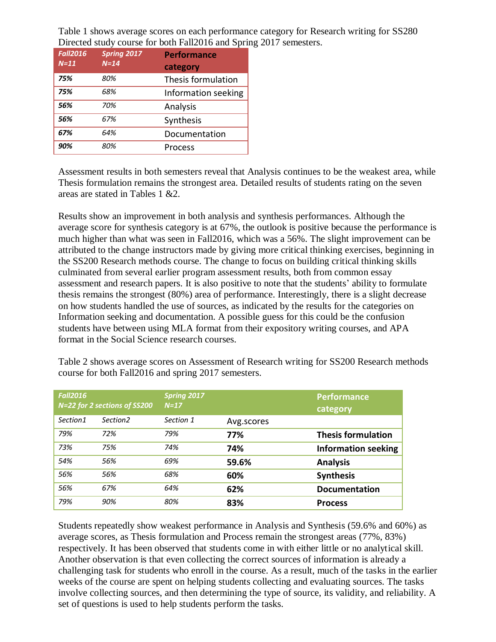Table 1 shows average scores on each performance category for Research writing for SS280 Directed study course for both Fall2016 and Spring 2017 semesters.

| <b>Fall2016</b> | <b>Spring 2017</b> | <b>Performance</b>  |
|-----------------|--------------------|---------------------|
| $N=11$          | $N = 14$           | category            |
| 75%             | 80%                | Thesis formulation  |
| 75%             | 68%                | Information seeking |
| 56%             | 70%                | Analysis            |
| 56%             | 67%                | Synthesis           |
| 67%             | 64%                | Documentation       |
| 90%             | 80%                | Process             |

Assessment results in both semesters reveal that Analysis continues to be the weakest area, while Thesis formulation remains the strongest area. Detailed results of students rating on the seven areas are stated in Tables 1 &2.

Results show an improvement in both analysis and synthesis performances. Although the average score for synthesis category is at 67%, the outlook is positive because the performance is much higher than what was seen in Fall2016, which was a 56%. The slight improvement can be attributed to the change instructors made by giving more critical thinking exercises, beginning in the SS200 Research methods course. The change to focus on building critical thinking skills culminated from several earlier program assessment results, both from common essay assessment and research papers. It is also positive to note that the students' ability to formulate thesis remains the strongest (80%) area of performance. Interestingly, there is a slight decrease on how students handled the use of sources, as indicated by the results for the categories on Information seeking and documentation. A possible guess for this could be the confusion students have between using MLA format from their expository writing courses, and APA format in the Social Science research courses.

| <b>Fall2016</b> | N=22 for 2 sections of SS200 | <b>Spring 2017</b><br>$N=17$ |            | <b>Performance</b><br>category |
|-----------------|------------------------------|------------------------------|------------|--------------------------------|
| Section1        | Section <sub>2</sub>         | Section 1                    | Avg.scores |                                |
| 79%             | 72%                          | 79%                          | 77%        | <b>Thesis formulation</b>      |
| 73%             | 75%                          | 74%                          | 74%        | <b>Information seeking</b>     |
| 54%             | 56%                          | 69%                          | 59.6%      | <b>Analysis</b>                |
| 56%             | 56%                          | 68%                          | 60%        | <b>Synthesis</b>               |
| 56%             | 67%                          | 64%                          | 62%        | <b>Documentation</b>           |
| 79%             | 90%                          | 80%                          | 83%        | <b>Process</b>                 |

Table 2 shows average scores on Assessment of Research writing for SS200 Research methods course for both Fall2016 and spring 2017 semesters.

Students repeatedly show weakest performance in Analysis and Synthesis (59.6% and 60%) as average scores, as Thesis formulation and Process remain the strongest areas (77%, 83%) respectively. It has been observed that students come in with either little or no analytical skill. Another observation is that even collecting the correct sources of information is already a challenging task for students who enroll in the course. As a result, much of the tasks in the earlier weeks of the course are spent on helping students collecting and evaluating sources. The tasks involve collecting sources, and then determining the type of source, its validity, and reliability. A set of questions is used to help students perform the tasks.